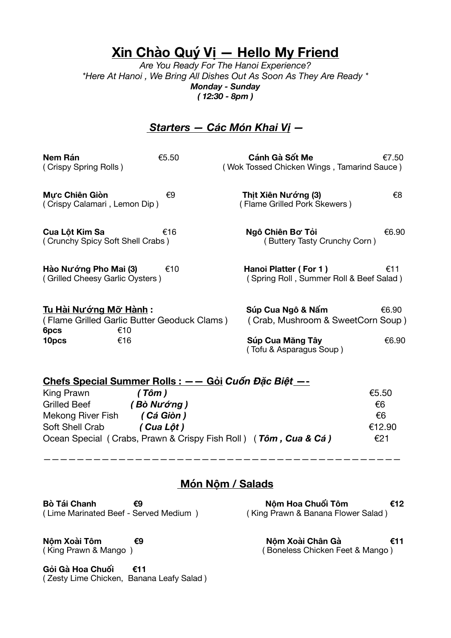# **Xin Chào Quý Vị — Hello My Friend**

*Are You Ready For The Hanoi Experience? \*Here At Hanoi , We Bring All Dishes Out As Soon As They Are Ready \* Monday - Sunday ( 12:30 - 8pm )* 

#### *Starters — Các Món Khai Vị —*

| Nem Rán<br>(Crispy Spring Rolls)                                                                                        | €5.50 | Cánh Gà Sốt Me<br>(Wok Tossed Chicken Wings, Tamarind Sauce)                                          | €7.50          |
|-------------------------------------------------------------------------------------------------------------------------|-------|-------------------------------------------------------------------------------------------------------|----------------|
| Mực Chiên Giòn<br>(Crispy Calamari, Lemon Dip)                                                                          | €9    | Thịt Xiên Nướng (3)<br>(Flame Grilled Pork Skewers)                                                   | €8             |
| Cua Lột Kim Sa<br>(Crunchy Spicy Soft Shell Crabs)                                                                      | €16   | Ngô Chiên Bơ Tỏi<br>(Buttery Tasty Crunchy Corn)                                                      | €6.90          |
| Hào Nướng Pho Mai (3)<br>(Grilled Cheesy Garlic Oysters)                                                                | €10   | Hanoi Platter (For 1)<br>(Spring Roll, Summer Roll & Beef Salad)                                      | €11            |
| <u>Tu Hài Nướng Mỡ Hành</u> :<br>(Flame Grilled Garlic Butter Geoduck Clams)<br>€10<br>6pcs<br>€16<br>10 <sub>pcs</sub> |       | Súp Cua Ngô & Nấm<br>(Crab, Mushroom & SweetCorn Soup)<br>Súp Cua Măng Tây<br>(Tofu & Asparagus Soup) | €6.90<br>€6.90 |
| Chefe Cnesial Cummer Delle :                                                                                            |       | Cải Cuấn Đặc Điật                                                                                     |                |

| Criefs Special Summer Rolls $\epsilon = -$ Gor Cubit Dac Biel $\epsilon = -$ |                                                                 |        |  |
|------------------------------------------------------------------------------|-----------------------------------------------------------------|--------|--|
| King Prawn                                                                   | (Tôm)                                                           | €5.50  |  |
| <b>Grilled Beef</b>                                                          | (Bò Nướng )                                                     | €6     |  |
| Mekong River Fish                                                            | (Cá Giòn)                                                       | €6     |  |
| Soft Shell Crab                                                              | (Cua Lôt)                                                       | €12.90 |  |
|                                                                              | Ocean Special (Crabs, Prawn & Crispy Fish Roll) (Tôm, Cua & Cá) | €21    |  |

———————————————————————————————————————————

#### **Món Nộm / Salads**

**Bò Tái Chanh €9 Chanh €9 Nộm Hoa Chuối Tôm €12 (Lime Marinated Beef - Served Medium**) (King Prawn & Banana Flower Salad) ( Lime Marinated Beef - Served Medium )

**Nộm Xoài Tôm €9 Nộm Xoài Chân Gà €11** ( King Prawn & Mango ) ( Boneless Chicken Feet & Mango )

**Gỏi Gà Hoa Chuối €11**  ( Zesty Lime Chicken, Banana Leafy Salad )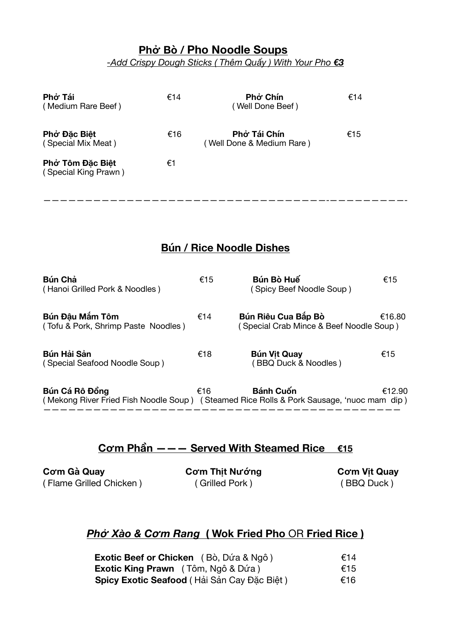### **Phở Bò / Pho Noodle Soups**

*-Add Crispy Dough Sticks ( Thêm Quẩy ) With Your Pho €3*

| Phở Tái<br>(Medium Rare Beef)            | €14 | Phở Chín<br>(Well Done Beef)              | €14 |
|------------------------------------------|-----|-------------------------------------------|-----|
| Phở Đặc Biệt<br>(Special Mix Meat)       | €16 | Phở Tái Chín<br>(Well Done & Medium Rare) | €15 |
| Phở Tôm Đặc Biệt<br>(Special King Prawn) | €1  |                                           |     |

### **Bún / Rice Noodle Dishes**

| Bún Chả<br>(Hanoi Grilled Pork & Noodles)                                                                  | €15 | Bún Bò Huế<br>(Spicy Beef Noodle Soup)                         | €15    |
|------------------------------------------------------------------------------------------------------------|-----|----------------------------------------------------------------|--------|
| Bún Đậu Mắm Tôm<br>(Tofu & Pork, Shrimp Paste Noodles)                                                     | €14 | Bún Riêu Cua Bắp Bò<br>(Special Crab Mince & Beef Noodle Soup) | €16.80 |
| Bún Hải Sản<br>(Special Seafood Noodle Soup)                                                               | €18 | <b>Bún Vit Quay</b><br>BBQ Duck & Noodles)                     | €15    |
| Bún Cá Rô Đồng<br>(Mekong River Fried Fish Noodle Soup) (Steamed Rice Rolls & Pork Sausage, 'nuoc mam dip) | €16 | <b>Bánh Cuốn</b>                                               | €12.90 |

## **Cơm Phần ——— Served With Steamed Rice €15**

 $C$ ơ**m** Gà Quay Cơm Thịt Nướng Cơm Vịt Quay ( Flame Grilled Chicken ) ( Grilled Pork ) ( BBQ Duck )

### *Phở Xào & Cơm Rang* **( Wok Fried Pho** OR **Fried Rice )**

| <b>Exotic Beef or Chicken</b> (Bò, Dứa & Ngô) | €14 |
|-----------------------------------------------|-----|
| <b>Exotic King Prawn</b> (Tôm, Ngô & Dứa)     | €15 |
| Spicy Exotic Seafood (Hải Sản Cay Đặc Biệt)   | €16 |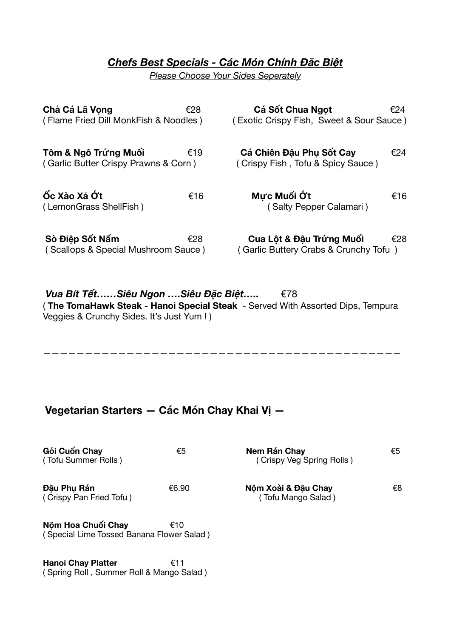#### *Chefs Best Specials - Các Món Chính Đặc Biệt*

*Please Choose Your Sides Seperately*

| Chả Cá Lã Vọng<br>(Flame Fried Dill MonkFish & Noodles)      | €28 | Cá Sốt Chua Ngot<br>(Exotic Crispy Fish, Sweet & Sour Sauce)      | €24 |
|--------------------------------------------------------------|-----|-------------------------------------------------------------------|-----|
| Tôm & Ngô Trứng Muối<br>(Garlic Butter Crispy Prawns & Corn) | €19 | Cá Chiên Đâu Phu Sốt Cay<br>(Crispy Fish, Tofu & Spicy Sauce)     | €24 |
| ốc Xào Xả Ớt<br>(LemonGrass ShellFish)                       | €16 | Mưc Muối Ớt<br>(Salty Pepper Calamari)                            | €16 |
| Sò Điệp Sốt Nấm<br>(Scallops & Special Mushroom Sauce)       | €28 | Cua Lôt & Đâu Trứng Muối<br>(Garlic Buttery Crabs & Crunchy Tofu) | €28 |

*Vua Bít Tết……Siêu Ngon ….Siêu Đặc Biệt…..*€78 ( **The TomaHawk Steak - Hanoi Special Steak** - Served With Assorted Dips, Tempura Veggies & Crunchy Sides. It's Just Yum ! )

#### ———————————————————————————————————————————

### **Vegetarian Starters — Các Món Chay Khai Vị —**

| Gỏi Cuốn Chay<br>(Tofu Summer Rolls)                            | €5    | Nem Rán Chay<br>(Crispy Veg Spring Rolls) | €5 |
|-----------------------------------------------------------------|-------|-------------------------------------------|----|
| Đâu Phu Rán<br>(Crispy Pan Fried Tofu)                          | €6.90 | Nôm Xoài & Đâu Chay<br>(Tofu Mango Salad) | €8 |
| Nộm Hoa Chuối Chay<br>(Special Lime Tossed Banana Flower Salad) | €10   |                                           |    |

**Hanoi Chay Platter** €11 ( Spring Roll , Summer Roll & Mango Salad )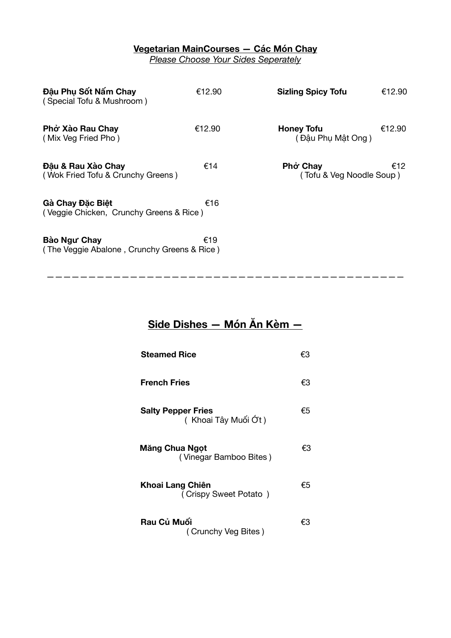#### **Vegetarian MainCourses — Các Món Chay**

*Please Choose Your Sides Seperately* 

| Đâu Phu Sốt Nấm Chay<br>(Special Tofu & Mushroom)           | €12.90 | <b>Sizling Spicy Tofu</b>              | €12.90 |
|-------------------------------------------------------------|--------|----------------------------------------|--------|
| Phở Xào Rau Chay<br>(Mix Veg Fried Pho)                     | €12.90 | <b>Honey Tofu</b><br>(Đậu Phụ Mật Ong) | €12.90 |
| Đâu & Rau Xào Chay<br>(Wok Fried Tofu & Crunchy Greens)     | €14    | Phở Chay<br>(Tofu & Veg Noodle Soup)   | €12    |
| Gà Chay Đặc Biệt<br>(Veggie Chicken, Crunchy Greens & Rice) | €16    |                                        |        |
| Bào Ngư Chay<br>(The Veggie Abalone, Crunchy Greens & Rice) | €19    |                                        |        |

# **Side Dishes — Món Ăn Kèm —**

———————————————————————————————————————————

| <b>Steamed Rice</b>                              | €3 |
|--------------------------------------------------|----|
| <b>French Fries</b>                              | €З |
| <b>Salty Pepper Fries</b><br>(Khoai Tây Muối Ớt) | €5 |
| Măng Chua Ngọt<br>(Vinegar Bamboo Bites)         | €3 |
| Khoai Lang Chiên<br>(Crispy Sweet Potato)        | €5 |
| Rau Củ Muối<br>(Crunchy Veg Bites)               | €З |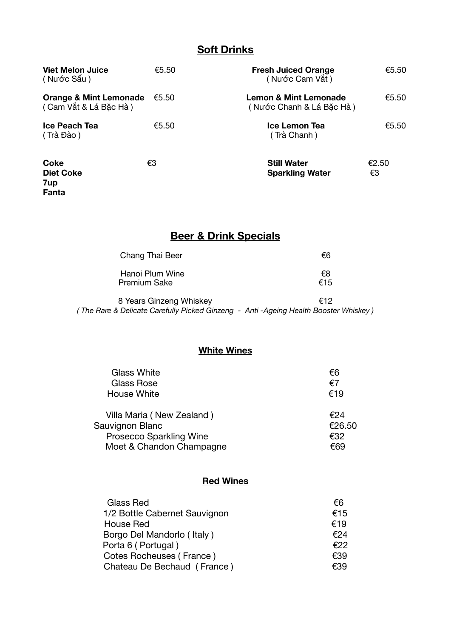#### **Soft Drinks**

| <b>Viet Melon Juice</b><br>(Nước Sấu)                      | €5.50 | <b>Fresh Juiced Orange</b><br>(Nước Cam Vắt)      | €5.50       |
|------------------------------------------------------------|-------|---------------------------------------------------|-------------|
| <b>Orange &amp; Mint Lemonade</b><br>(Cam Vắt & Lá Bắc Hà) | €5.50 | Lemon & Mint Lemonade<br>(Nước Chanh & Lá Bắc Hà) | €5.50       |
| <b>Ice Peach Tea</b><br>(Trà Đào)                          | €5.50 | Ice Lemon Tea<br>(Trà Chanh)                      | €5.50       |
| <b>Coke</b><br><b>Diet Coke</b><br>7up<br>Fanta            | €3    | <b>Still Water</b><br><b>Sparkling Water</b>      | €2.50<br>€3 |

# **Beer & Drink Specials**

| €6        |
|-----------|
| €8<br>€15 |
|           |

8 Years Ginzeng Whiskey **€12** *( The Rare & Delicate Carefully Picked Ginzeng - Anti -Ageing Health Booster Whiskey )* 

#### **White Wines**

| <b>Glass White</b>        | €6     |
|---------------------------|--------|
| Glass Rose                | €7     |
| <b>House White</b>        | €19    |
| Villa Maria (New Zealand) | €24    |
| Sauvignon Blanc           | €26.50 |
| Prosecco Sparkling Wine   | €32    |
| Moet & Chandon Champagne  | €69    |

#### **Red Wines**

| Glass Red                     | €ճ  |
|-------------------------------|-----|
| 1/2 Bottle Cabernet Sauvignon | €15 |
| House Red                     | €19 |
| Borgo Del Mandorlo (Italy)    | €24 |
| Porta 6 (Portugal)            | €22 |
| Cotes Rocheuses (France)      | €39 |
| Chateau De Bechaud (France)   | €39 |